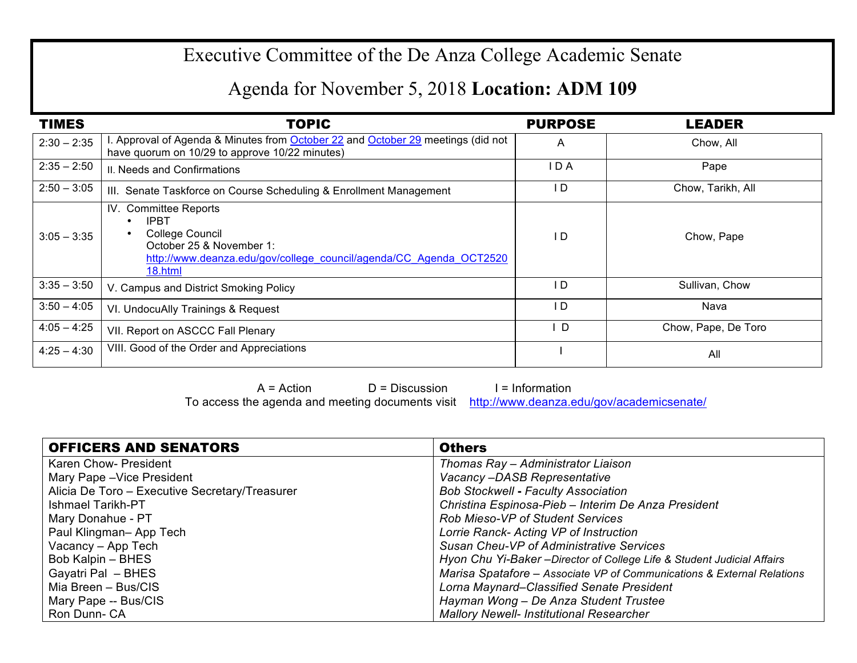## Executive Committee of the De Anza College Academic Senate

## Agenda for November 5, 2018 **Location: ADM 109**

| <b>TIMES</b>  | TOPIC                                                                                                                                                                             | <b>PURPOSE</b> | <b>LEADER</b>       |
|---------------|-----------------------------------------------------------------------------------------------------------------------------------------------------------------------------------|----------------|---------------------|
| $2:30 - 2:35$ | I. Approval of Agenda & Minutes from October 22 and October 29 meetings (did not<br>have quorum on 10/29 to approve 10/22 minutes)                                                | A              | Chow, All           |
| $2:35 - 2:50$ | II. Needs and Confirmations                                                                                                                                                       | I D A          | Pape                |
| $2:50 - 3:05$ | III. Senate Taskforce on Course Scheduling & Enrollment Management                                                                                                                | l D            | Chow, Tarikh, All   |
| $3:05 - 3:35$ | IV. Committee Reports<br><b>IPBT</b><br>$\bullet$<br>College Council<br>October 25 & November 1:<br>http://www.deanza.edu/gov/college_council/agenda/CC_Agenda_OCT2520<br>18.html | l D            | Chow, Pape          |
| $3:35 - 3:50$ | V. Campus and District Smoking Policy                                                                                                                                             | I D            | Sullivan, Chow      |
| $3:50 - 4:05$ | VI. UndocuAlly Trainings & Request                                                                                                                                                | I D            | Nava                |
| $4:05 - 4:25$ | VII. Report on ASCCC Fall Plenary                                                                                                                                                 | <sup>D</sup>   | Chow, Pape, De Toro |
| $4:25 - 4:30$ | VIII. Good of the Order and Appreciations                                                                                                                                         |                | All                 |

 $A = Action$   $D = Discussion$  I = Information To access the agenda and meeting documents visit http://www.deanza.edu/gov/academicsenate/

| <b>OFFICERS AND SENATORS</b>                   | <b>Others</b>                                                           |
|------------------------------------------------|-------------------------------------------------------------------------|
| Karen Chow- President                          | Thomas Ray - Administrator Liaison                                      |
| Mary Pape - Vice President                     | Vacancy-DASB Representative                                             |
| Alicia De Toro - Executive Secretary/Treasurer | <b>Bob Stockwell - Faculty Association</b>                              |
| Ishmael Tarikh-PT                              | Christina Espinosa-Pieb - Interim De Anza President                     |
| Mary Donahue - PT                              | <b>Rob Mieso-VP of Student Services</b>                                 |
| Paul Klingman-App Tech                         | Lorrie Ranck- Acting VP of Instruction                                  |
| Vacancy - App Tech                             | Susan Cheu-VP of Administrative Services                                |
| Bob Kalpin – BHES                              | Hyon Chu Yi-Baker - Director of College Life & Student Judicial Affairs |
| Gayatri Pal - BHES                             | Marisa Spatafore - Associate VP of Communications & External Relations  |
| Mia Breen - Bus/CIS                            | Lorna Maynard–Classified Senate President                               |
| Mary Pape -- Bus/CIS                           | Hayman Wong - De Anza Student Trustee                                   |
| Ron Dunn- CA                                   | <b>Mallory Newell- Institutional Researcher</b>                         |